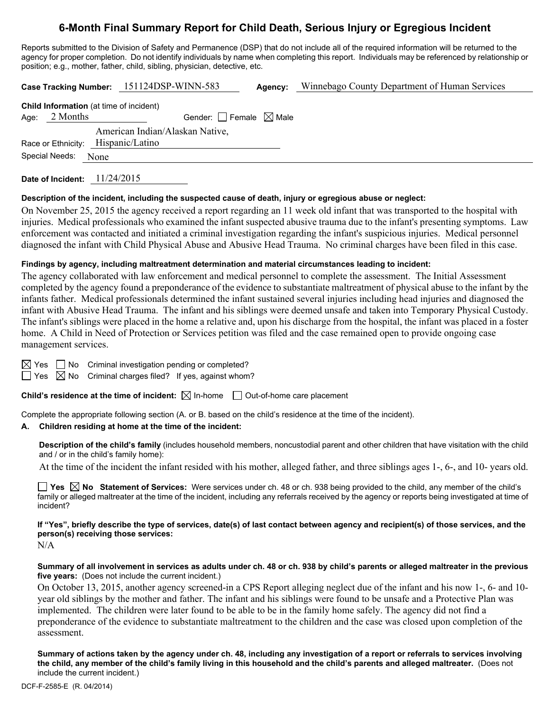# **6-Month Final Summary Report for Child Death, Serious Injury or Egregious Incident**

Reports submitted to the Division of Safety and Permanence (DSP) that do not include all of the required information will be returned to the agency for proper completion. Do not identify individuals by name when completing this report. Individuals may be referenced by relationship or position; e.g., mother, father, child, sibling, physician, detective, etc.

**Case Tracking Number:** 151124DSP-WINN-583 **Agency:** Winnebago County Department of Human Services **Child Information** (at time of incident) Age:  $2$  Months Gender: Female  $\boxtimes$  Male Race or Ethnicity: Hispanic/Latino American Indian/Alaskan Native, Special Needs: None

**Date of Incident:** 11/24/2015

# **Description of the incident, including the suspected cause of death, injury or egregious abuse or neglect:**

On November 25, 2015 the agency received a report regarding an 11 week old infant that was transported to the hospital with injuries. Medical professionals who examined the infant suspected abusive trauma due to the infant's presenting symptoms. Law enforcement was contacted and initiated a criminal investigation regarding the infant's suspicious injuries. Medical personnel diagnosed the infant with Child Physical Abuse and Abusive Head Trauma. No criminal charges have been filed in this case.

# **Findings by agency, including maltreatment determination and material circumstances leading to incident:**

The agency collaborated with law enforcement and medical personnel to complete the assessment. The Initial Assessment completed by the agency found a preponderance of the evidence to substantiate maltreatment of physical abuse to the infant by the infants father. Medical professionals determined the infant sustained several injuries including head injuries and diagnosed the infant with Abusive Head Trauma. The infant and his siblings were deemed unsafe and taken into Temporary Physical Custody. The infant's siblings were placed in the home a relative and, upon his discharge from the hospital, the infant was placed in a foster home. A Child in Need of Protection or Services petition was filed and the case remained open to provide ongoing case management services.

 $\boxtimes$  Yes  $\Box$  No Criminal investigation pending or completed?

 $\Box$  Yes  $\boxtimes$  No Criminal charges filed? If yes, against whom?

**Child's residence at the time of incident:**  $\boxtimes$  In-home  $\Box$  Out-of-home care placement

Complete the appropriate following section (A. or B. based on the child's residence at the time of the incident).

## **A. Children residing at home at the time of the incident:**

**Description of the child's family** (includes household members, noncustodial parent and other children that have visitation with the child and / or in the child's family home):

At the time of the incident the infant resided with his mother, alleged father, and three siblings ages 1-, 6-, and 10- years old.

**Yes**  $\boxtimes$  **No** Statement of Services: Were services under ch. 48 or ch. 938 being provided to the child, any member of the child's family or alleged maltreater at the time of the incident, including any referrals received by the agency or reports being investigated at time of incident?

**If "Yes", briefly describe the type of services, date(s) of last contact between agency and recipient(s) of those services, and the person(s) receiving those services:** 

N/A

#### **Summary of all involvement in services as adults under ch. 48 or ch. 938 by child's parents or alleged maltreater in the previous five years:** (Does not include the current incident.)

On October 13, 2015, another agency screened-in a CPS Report alleging neglect due of the infant and his now 1-, 6- and 10 year old siblings by the mother and father. The infant and his siblings were found to be unsafe and a Protective Plan was implemented. The children were later found to be able to be in the family home safely. The agency did not find a preponderance of the evidence to substantiate maltreatment to the children and the case was closed upon completion of the assessment.

**Summary of actions taken by the agency under ch. 48, including any investigation of a report or referrals to services involving the child, any member of the child's family living in this household and the child's parents and alleged maltreater.** (Does not include the current incident.)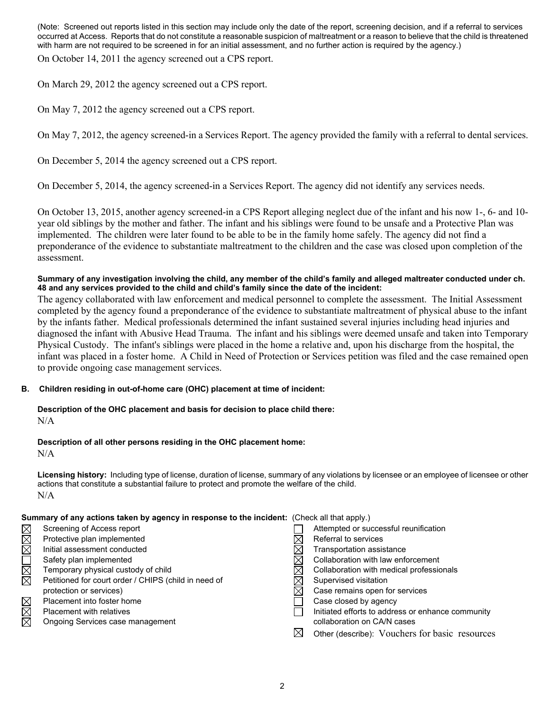(Note: Screened out reports listed in this section may include only the date of the report, screening decision, and if a referral to services occurred at Access. Reports that do not constitute a reasonable suspicion of maltreatment or a reason to believe that the child is threatened with harm are not required to be screened in for an initial assessment, and no further action is required by the agency.)

On October 14, 2011 the agency screened out a CPS report.

On March 29, 2012 the agency screened out a CPS report.

On May 7, 2012 the agency screened out a CPS report.

On May 7, 2012, the agency screened-in a Services Report. The agency provided the family with a referral to dental services.

On December 5, 2014 the agency screened out a CPS report.

On December 5, 2014, the agency screened-in a Services Report. The agency did not identify any services needs.

On October 13, 2015, another agency screened-in a CPS Report alleging neglect due of the infant and his now 1-, 6- and 10 year old siblings by the mother and father. The infant and his siblings were found to be unsafe and a Protective Plan was implemented. The children were later found to be able to be in the family home safely. The agency did not find a preponderance of the evidence to substantiate maltreatment to the children and the case was closed upon completion of the assessment.

## **Summary of any investigation involving the child, any member of the child's family and alleged maltreater conducted under ch. 48 and any services provided to the child and child's family since the date of the incident:**

The agency collaborated with law enforcement and medical personnel to complete the assessment. The Initial Assessment completed by the agency found a preponderance of the evidence to substantiate maltreatment of physical abuse to the infant by the infants father. Medical professionals determined the infant sustained several injuries including head injuries and diagnosed the infant with Abusive Head Trauma. The infant and his siblings were deemed unsafe and taken into Temporary Physical Custody. The infant's siblings were placed in the home a relative and, upon his discharge from the hospital, the infant was placed in a foster home. A Child in Need of Protection or Services petition was filed and the case remained open to provide ongoing case management services.

## **B. Children residing in out-of-home care (OHC) placement at time of incident:**

#### **Description of the OHC placement and basis for decision to place child there:**   $N/A$

## **Description of all other persons residing in the OHC placement home:**

 $N/A$ 

**Licensing history:** Including type of license, duration of license, summary of any violations by licensee or an employee of licensee or other actions that constitute a substantial failure to protect and promote the welfare of the child. N/A

## **Summary of any actions taken by agency in response to the incident:** (Check all that apply.)

|        | Screening of Access report                           | Attempted or successful reunification             |
|--------|------------------------------------------------------|---------------------------------------------------|
| MMM    | Protective plan implemented                          | Referral to services                              |
|        | Initial assessment conducted                         | Transportation assistance                         |
| N<br>M | Safety plan implemented                              | Collaboration with law enforcement                |
|        | Temporary physical custody of child                  | Collaboration with medical professionals          |
|        | Petitioned for court order / CHIPS (child in need of | Supervised visitation                             |
|        | protection or services)                              | Case remains open for services                    |
|        | Placement into foster home                           | Case closed by agency                             |
| MMM    | <b>Placement with relatives</b>                      | Initiated efforts to address or enhance community |
|        | Ongoing Services case management                     | collaboration on CA/N cases                       |
|        |                                                      | Other (describe): Vouchers for basic resources    |